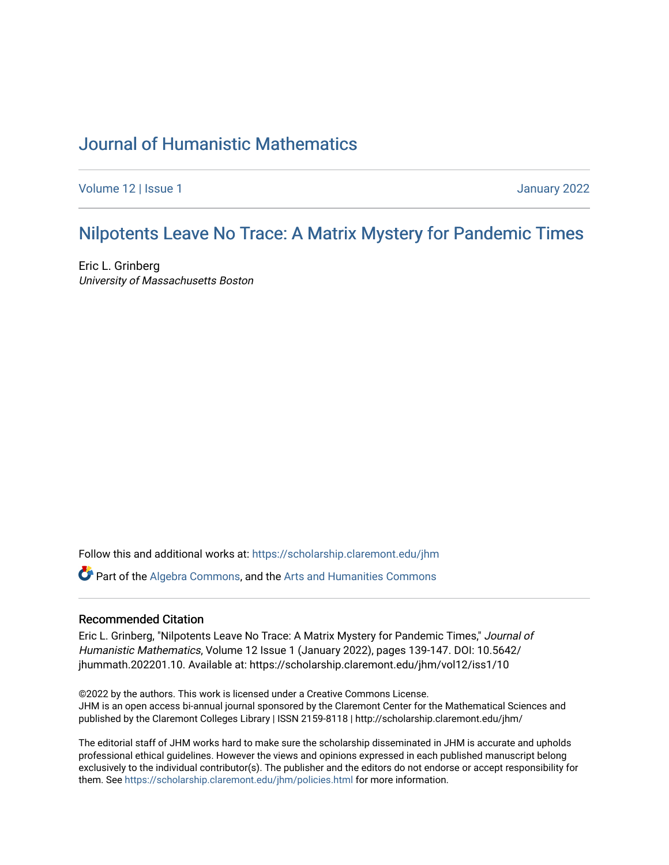# [Journal of Humanistic Mathematics](https://scholarship.claremont.edu/jhm)

[Volume 12](https://scholarship.claremont.edu/jhm/vol12) | Issue 1 January 2022

# Nilpotents [Leave No Trace: A Matrix Myster](https://scholarship.claremont.edu/jhm/vol12/iss1/10)y for Pandemic Times

Eric L. Grinberg University of Massachusetts Boston

Follow this and additional works at: [https://scholarship.claremont.edu/jhm](https://scholarship.claremont.edu/jhm?utm_source=scholarship.claremont.edu%2Fjhm%2Fvol12%2Fiss1%2F10&utm_medium=PDF&utm_campaign=PDFCoverPages)

Part of the [Algebra Commons,](http://network.bepress.com/hgg/discipline/175?utm_source=scholarship.claremont.edu%2Fjhm%2Fvol12%2Fiss1%2F10&utm_medium=PDF&utm_campaign=PDFCoverPages) and the [Arts and Humanities Commons](http://network.bepress.com/hgg/discipline/438?utm_source=scholarship.claremont.edu%2Fjhm%2Fvol12%2Fiss1%2F10&utm_medium=PDF&utm_campaign=PDFCoverPages) 

#### Recommended Citation

Eric L. Grinberg, "Nilpotents Leave No Trace: A Matrix Mystery for Pandemic Times," Journal of Humanistic Mathematics, Volume 12 Issue 1 (January 2022), pages 139-147. DOI: 10.5642/ jhummath.202201.10. Available at: https://scholarship.claremont.edu/jhm/vol12/iss1/10

©2022 by the authors. This work is licensed under a Creative Commons License. JHM is an open access bi-annual journal sponsored by the Claremont Center for the Mathematical Sciences and published by the Claremont Colleges Library | ISSN 2159-8118 | http://scholarship.claremont.edu/jhm/

The editorial staff of JHM works hard to make sure the scholarship disseminated in JHM is accurate and upholds professional ethical guidelines. However the views and opinions expressed in each published manuscript belong exclusively to the individual contributor(s). The publisher and the editors do not endorse or accept responsibility for them. See<https://scholarship.claremont.edu/jhm/policies.html> for more information.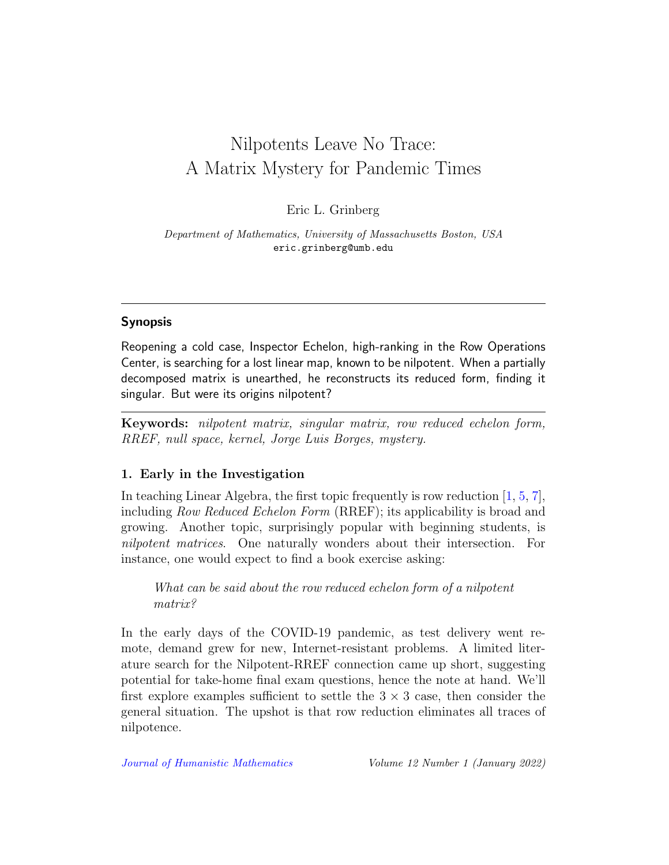# Nilpotents Leave No Trace: A Matrix Mystery for Pandemic Times

Eric L. Grinberg

Department of Mathematics, University of Massachusetts Boston, USA eric.grinberg@umb.edu

## Synopsis

Reopening a cold case, Inspector Echelon, high-ranking in the Row Operations Center, is searching for a lost linear map, known to be nilpotent. When a partially decomposed matrix is unearthed, he reconstructs its reduced form, finding it singular. But were its origins nilpotent?

Keywords: nilpotent matrix, singular matrix, row reduced echelon form, RREF, null space, kernel, Jorge Luis Borges, mystery.

## 1. Early in the Investigation

In teaching Linear Algebra, the first topic frequently is row reduction  $[1, 5, 7]$  $[1, 5, 7]$  $[1, 5, 7]$  $[1, 5, 7]$  $[1, 5, 7]$ , including Row Reduced Echelon Form (RREF); its applicability is broad and growing. Another topic, surprisingly popular with beginning students, is nilpotent matrices. One naturally wonders about their intersection. For instance, one would expect to find a book exercise asking:

What can be said about the row reduced echelon form of a nilpotent matrix?

In the early days of the COVID-19 pandemic, as test delivery went remote, demand grew for new, Internet-resistant problems. A limited literature search for the Nilpotent-RREF connection came up short, suggesting potential for take-home final exam questions, hence the note at hand. We'll first explore examples sufficient to settle the  $3 \times 3$  case, then consider the general situation. The upshot is that row reduction eliminates all traces of nilpotence.

[Journal of Humanistic Mathematics](http://scholarship.claremont.edu/jhm/) Volume 12 Number 1 (January 2022)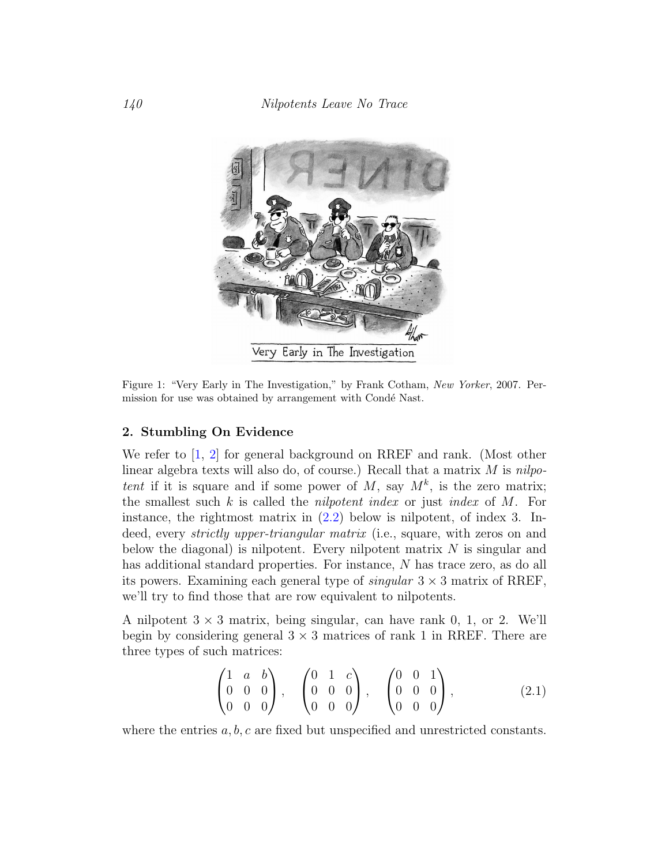

Figure 1: "Very Early in The Investigation," by Frank Cotham, New Yorker, 2007. Permission for use was obtained by arrangement with Condé Nast.

#### 2. Stumbling On Evidence

We refer to [\[1,](#page-8-0) [2\]](#page-8-1) for general background on RREF and rank. (Most other linear algebra texts will also do, of course.) Recall that a matrix  $M$  is nilpotent if it is square and if some power of M, say  $M^k$ , is the zero matrix; the smallest such  $k$  is called the *nilpotent index* or just *index* of  $M$ . For instance, the rightmost matrix in  $(2.2)$  below is nilpotent, of index 3. Indeed, every *strictly upper-triangular matrix* (i.e., square, with zeros on and below the diagonal) is nilpotent. Every nilpotent matrix  $N$  is singular and has additional standard properties. For instance, N has trace zero, as do all its powers. Examining each general type of  $singular 3 \times 3$  matrix of RREF, we'll try to find those that are row equivalent to nilpotents.

A nilpotent  $3 \times 3$  matrix, being singular, can have rank 0, 1, or 2. We'll begin by considering general  $3 \times 3$  matrices of rank 1 in RREF. There are three types of such matrices:

<span id="page-2-0"></span>
$$
\begin{pmatrix} 1 & a & b \\ 0 & 0 & 0 \\ 0 & 0 & 0 \end{pmatrix}, \quad \begin{pmatrix} 0 & 1 & c \\ 0 & 0 & 0 \\ 0 & 0 & 0 \end{pmatrix}, \quad \begin{pmatrix} 0 & 0 & 1 \\ 0 & 0 & 0 \\ 0 & 0 & 0 \end{pmatrix}, \tag{2.1}
$$

where the entries  $a, b, c$  are fixed but unspecified and unrestricted constants.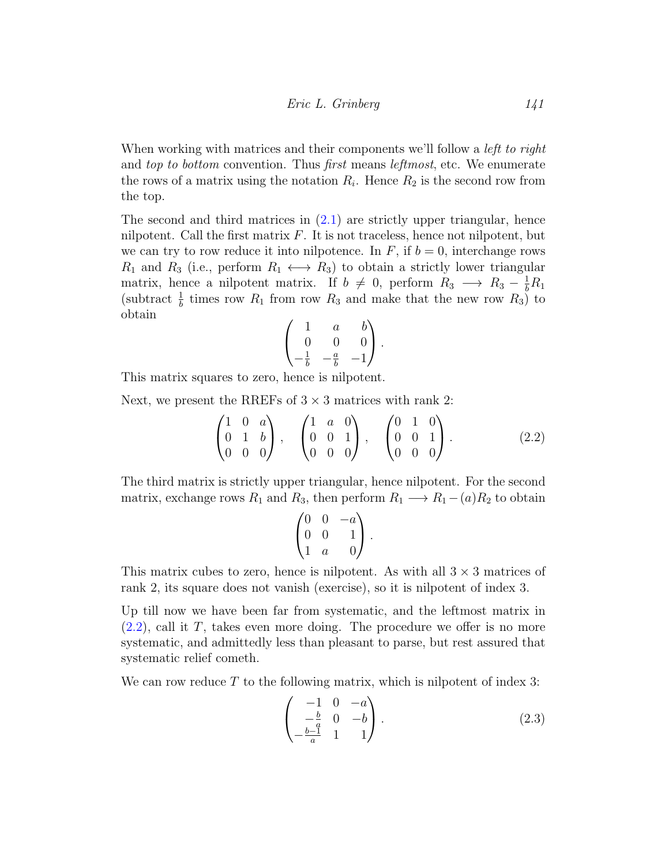When working with matrices and their components we'll follow a *left to right* and top to bottom convention. Thus first means *leftmost*, etc. We enumerate the rows of a matrix using the notation  $R_i$ . Hence  $R_2$  is the second row from the top.

The second and third matrices in  $(2.1)$  are strictly upper triangular, hence nilpotent. Call the first matrix  $F$ . It is not traceless, hence not nilpotent, but we can try to row reduce it into nilpotence. In  $F$ , if  $b = 0$ , interchange rows  $R_1$  and  $R_3$  (i.e., perform  $R_1 \leftrightarrow R_3$ ) to obtain a strictly lower triangular matrix, hence a nilpotent matrix. If  $b \neq 0$ , perform  $R_3 \longrightarrow R_3 - \frac{1}{b}R_1$ (subtract  $\frac{1}{b}$  times row  $R_1$  from row  $R_3$  and make that the new row  $R_3$ ) to obtain

<span id="page-3-0"></span>
$$
\begin{pmatrix} 1 & a & b \\ 0 & 0 & 0 \\ -\frac{1}{b} & -\frac{a}{b} & -1 \end{pmatrix}.
$$

This matrix squares to zero, hence is nilpotent.

Next, we present the RREFs of  $3 \times 3$  matrices with rank 2:

$$
\begin{pmatrix} 1 & 0 & a \\ 0 & 1 & b \\ 0 & 0 & 0 \end{pmatrix}, \quad \begin{pmatrix} 1 & a & 0 \\ 0 & 0 & 1 \\ 0 & 0 & 0 \end{pmatrix}, \quad \begin{pmatrix} 0 & 1 & 0 \\ 0 & 0 & 1 \\ 0 & 0 & 0 \end{pmatrix}.
$$
 (2.2)

The third matrix is strictly upper triangular, hence nilpotent. For the second matrix, exchange rows  $R_1$  and  $R_3$ , then perform  $R_1 \longrightarrow R_1-(a)R_2$  to obtain

$$
\begin{pmatrix} 0 & 0 & -a \\ 0 & 0 & 1 \\ 1 & a & 0 \end{pmatrix}.
$$

This matrix cubes to zero, hence is nilpotent. As with all  $3 \times 3$  matrices of rank 2, its square does not vanish (exercise), so it is nilpotent of index 3.

Up till now we have been far from systematic, and the leftmost matrix in  $(2.2)$ , call it T, takes even more doing. The procedure we offer is no more systematic, and admittedly less than pleasant to parse, but rest assured that systematic relief cometh.

We can row reduce  $T$  to the following matrix, which is nilpotent of index 3:

<span id="page-3-1"></span>
$$
\begin{pmatrix} -1 & 0 & -a \\ -\frac{b}{a} & 0 & -b \\ -\frac{b-1}{a} & 1 & 1 \end{pmatrix}.
$$
 (2.3)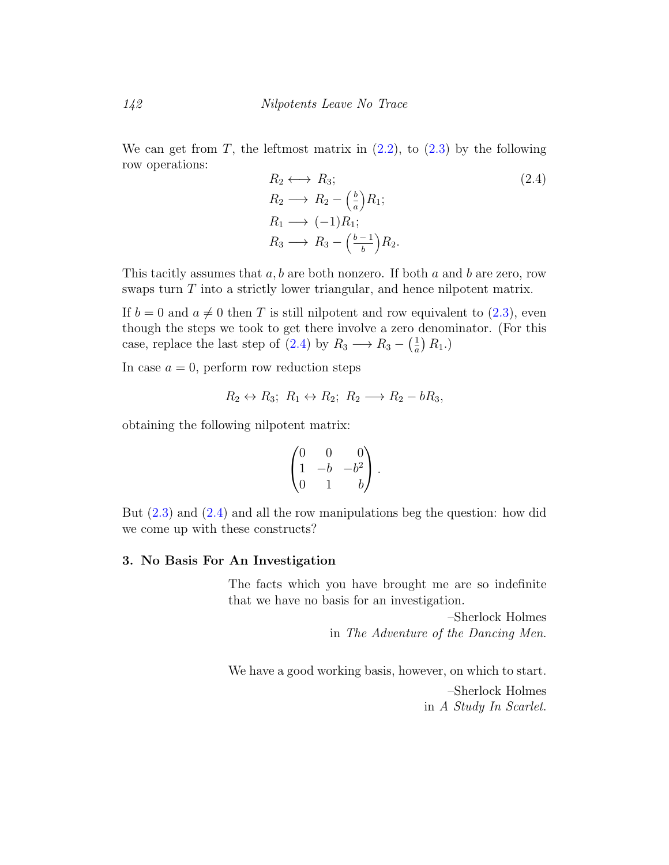We can get from T, the leftmost matrix in  $(2.2)$ , to  $(2.3)$  by the following row operations:

<span id="page-4-0"></span>
$$
R_2 \longleftrightarrow R_3; \nR_2 \longrightarrow R_2 - \left(\frac{b}{a}\right)R_1; \nR_1 \longrightarrow (-1)R_1; \nR_3 \longrightarrow R_3 - \left(\frac{b-1}{b}\right)R_2.
$$
\n(2.4)

This tacitly assumes that  $a, b$  are both nonzero. If both  $a$  and  $b$  are zero, row swaps turn  $T$  into a strictly lower triangular, and hence nilpotent matrix.

If  $b = 0$  and  $a \neq 0$  then T is still nilpotent and row equivalent to [\(2.3\)](#page-3-1), even though the steps we took to get there involve a zero denominator. (For this case, replace the last step of  $(2.4)$  by  $R_3 \longrightarrow R_3 - \left(\frac{1}{a}\right)$  $\frac{1}{a}$   $R_1$ .)

In case  $a = 0$ , perform row reduction steps

$$
R_2 \leftrightarrow R_3
$$
;  $R_1 \leftrightarrow R_2$ ;  $R_2 \longrightarrow R_2 - bR_3$ ,

obtaining the following nilpotent matrix:

$$
\begin{pmatrix} 0 & 0 & 0 \ 1 & -b & -b^2 \ 0 & 1 & b \end{pmatrix}.
$$

But [\(2.3\)](#page-3-1) and [\(2.4\)](#page-4-0) and all the row manipulations beg the question: how did we come up with these constructs?

#### 3. No Basis For An Investigation

The facts which you have brought me are so indefinite that we have no basis for an investigation.

> –Sherlock Holmes in The Adventure of the Dancing Men.

We have a good working basis, however, on which to start. –Sherlock Holmes in A Study In Scarlet.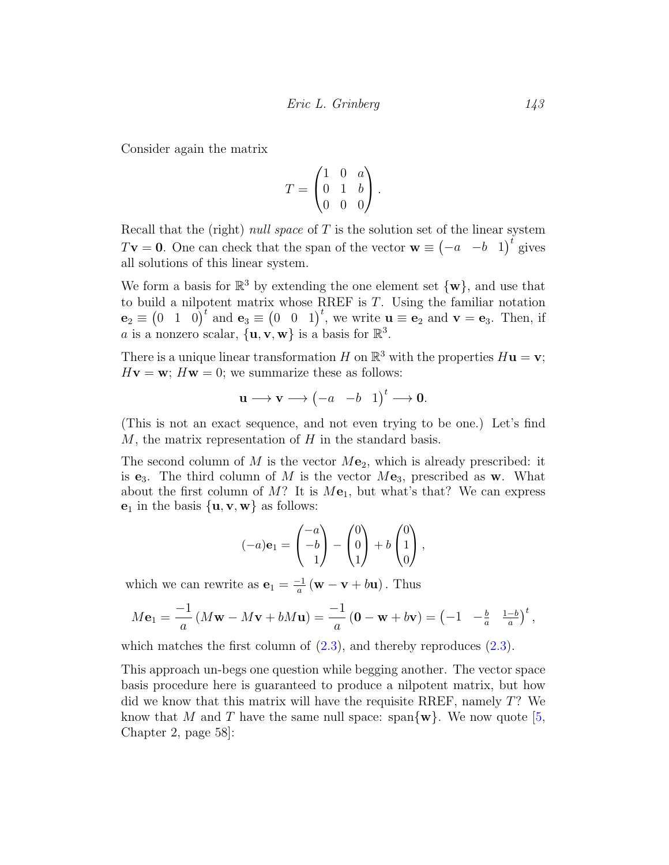Consider again the matrix

$$
T = \begin{pmatrix} 1 & 0 & a \\ 0 & 1 & b \\ 0 & 0 & 0 \end{pmatrix}.
$$

Recall that the (right) *null space* of  $T$  is the solution set of the linear system  $T\mathbf{v} = \mathbf{0}$ . One can check that the span of the vector  $\mathbf{w} \equiv \begin{pmatrix} -a & -b & 1 \end{pmatrix}^t$  gives all solutions of this linear system.

We form a basis for  $\mathbb{R}^3$  by extending the one element set  $\{w\}$ , and use that to build a nilpotent matrix whose RREF is T. Using the familiar notation  $\mathbf{e}_2 \equiv \begin{pmatrix} 0 & 1 & 0 \end{pmatrix}^t$  and  $\mathbf{e}_3 \equiv \begin{pmatrix} 0 & 0 & 1 \end{pmatrix}^t$ , we write  $\mathbf{u} \equiv \mathbf{e}_2$  and  $\mathbf{v} = \mathbf{e}_3$ . Then, if a is a nonzero scalar,  $\{u, v, w\}$  is a basis for  $\mathbb{R}^3$ .

There is a unique linear transformation H on  $\mathbb{R}^3$  with the properties  $H$ **u** = **v**;  $Hv = w$ ;  $Hw = 0$ ; we summarize these as follows:

$$
\mathbf{u} \longrightarrow \mathbf{v} \longrightarrow \begin{pmatrix} -a & -b & 1 \end{pmatrix}^t \longrightarrow \mathbf{0}.
$$

(This is not an exact sequence, and not even trying to be one.) Let's find M, the matrix representation of  $H$  in the standard basis.

The second column of  $M$  is the vector  $M\mathbf{e}_2$ , which is already prescribed: it is **e**<sub>3</sub>. The third column of M is the vector  $M\mathbf{e}_3$ , prescribed as **w**. What about the first column of M? It is  $M\mathbf{e}_1$ , but what's that? We can express  $\mathbf{e}_1$  in the basis  $\{\mathbf{u}, \mathbf{v}, \mathbf{w}\}$  as follows:

$$
(-a)\mathbf{e}_1 = \begin{pmatrix} -a \\ -b \\ 1 \end{pmatrix} - \begin{pmatrix} 0 \\ 0 \\ 1 \end{pmatrix} + b \begin{pmatrix} 0 \\ 1 \\ 0 \end{pmatrix},
$$

which we can rewrite as  $\mathbf{e}_1 = \frac{-1}{a}$  $\frac{-1}{a}$  (**w** – **v** + b**u**). Thus

$$
M\mathbf{e}_1 = \frac{-1}{a}\left(M\mathbf{w} - M\mathbf{v} + bM\mathbf{u}\right) = \frac{-1}{a}\left(\mathbf{0} - \mathbf{w} + b\mathbf{v}\right) = \left(-1 \quad -\frac{b}{a} \quad \frac{1-b}{a}\right)^t,
$$

which matches the first column of  $(2.3)$ , and thereby reproduces  $(2.3)$ .

This approach un-begs one question while begging another. The vector space basis procedure here is guaranteed to produce a nilpotent matrix, but how did we know that this matrix will have the requisite RREF, namely T? We know that M and T have the same null space: span $\{w\}$ . We now quote [\[5,](#page-9-0) Chapter 2, page 58]: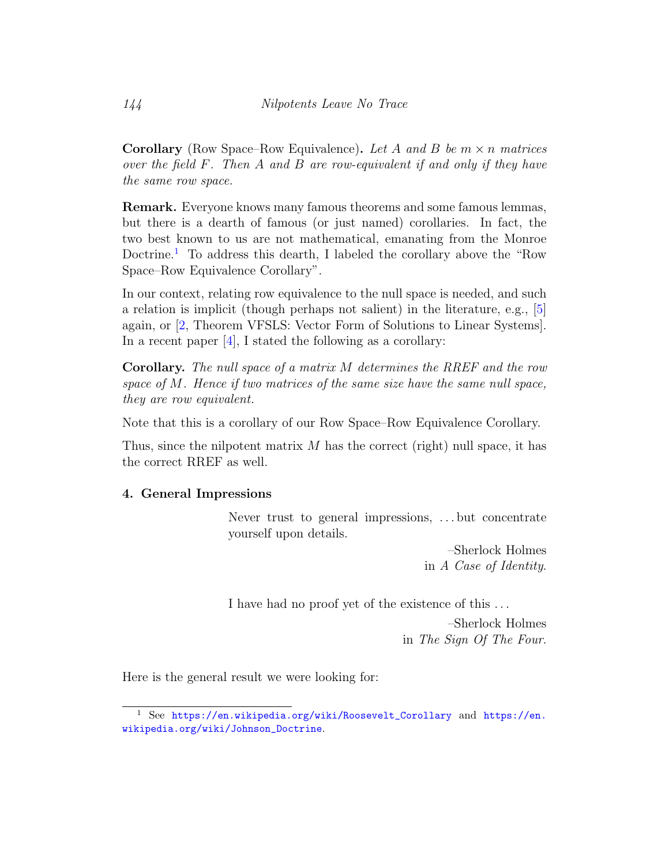**Corollary** (Row Space–Row Equivalence). Let A and B be  $m \times n$  matrices over the field F. Then A and B are row-equivalent if and only if they have the same row space.

Remark. Everyone knows many famous theorems and some famous lemmas, but there is a dearth of famous (or just named) corollaries. In fact, the two best known to us are not mathematical, emanating from the Monroe Doctrine.<sup>[1](#page-6-0)</sup> To address this dearth, I labeled the corollary above the "Row" Space–Row Equivalence Corollary".

In our context, relating row equivalence to the null space is needed, and such a relation is implicit (though perhaps not salient) in the literature, e.g., [\[5\]](#page-9-0) again, or [\[2,](#page-8-1) Theorem VFSLS: Vector Form of Solutions to Linear Systems]. In a recent paper [\[4\]](#page-8-2), I stated the following as a corollary:

Corollary. The null space of a matrix M determines the RREF and the row space of M. Hence if two matrices of the same size have the same null space, they are row equivalent.

Note that this is a corollary of our Row Space–Row Equivalence Corollary.

Thus, since the nilpotent matrix  $M$  has the correct (right) null space, it has the correct RREF as well.

## 4. General Impressions

Never trust to general impressions, . . . but concentrate yourself upon details.

> –Sherlock Holmes in A Case of Identity.

I have had no proof yet of the existence of this . . .

–Sherlock Holmes in The Sign Of The Four.

Here is the general result we were looking for:

<span id="page-6-0"></span><sup>1</sup> See [https://en.wikipedia.org/wiki/Roosevelt\\_Corollary](https://en.wikipedia.org/wiki/Roosevelt_Corollary) and [https://en.](https://en.wikipedia.org/wiki/Johnson_Doctrine) [wikipedia.org/wiki/Johnson\\_Doctrine](https://en.wikipedia.org/wiki/Johnson_Doctrine).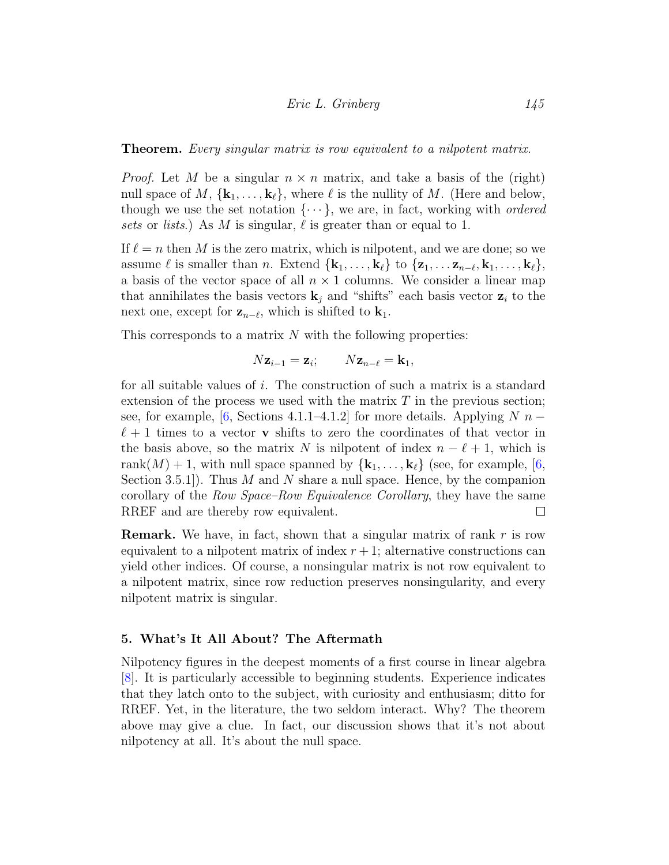Theorem. Every singular matrix is row equivalent to a nilpotent matrix.

*Proof.* Let M be a singular  $n \times n$  matrix, and take a basis of the (right) null space of M,  $\{k_1, \ldots, k_{\ell}\}\$ , where  $\ell$  is the nullity of M. (Here and below, though we use the set notation  $\{\cdots\}$ , we are, in fact, working with *ordered* sets or lists.) As M is singular,  $\ell$  is greater than or equal to 1.

If  $\ell = n$  then M is the zero matrix, which is nilpotent, and we are done; so we assume  $\ell$  is smaller than n. Extend  $\{k_1, \ldots, k_{\ell}\}\$  to  $\{z_1, \ldots, z_{n-\ell}, k_1, \ldots, k_{\ell}\},\$ a basis of the vector space of all  $n \times 1$  columns. We consider a linear map that annihilates the basis vectors  $\mathbf{k}_i$  and "shifts" each basis vector  $\mathbf{z}_i$  to the next one, except for  $z_{n-\ell}$ , which is shifted to  $k_1$ .

This corresponds to a matrix  $N$  with the following properties:

$$
N\mathbf{z}_{i-1} = \mathbf{z}_i; \qquad N\mathbf{z}_{n-\ell} = \mathbf{k}_1,
$$

for all suitable values of i. The construction of such a matrix is a standard extension of the process we used with the matrix  $T$  in the previous section; see, for example, [\[6,](#page-9-2) Sections 4.1.1–4.1.2] for more details. Applying  $N$  n –  $\ell + 1$  times to a vector **v** shifts to zero the coordinates of that vector in the basis above, so the matrix N is nilpotent of index  $n - \ell + 1$ , which is rank $(M) + 1$ , with null space spanned by  $\{k_1, \ldots, k_\ell\}$  (see, for example, [\[6,](#page-9-2) Section 3.5.1]). Thus  $M$  and  $N$  share a null space. Hence, by the companion corollary of the Row Space–Row Equivalence Corollary, they have the same RREF and are thereby row equivalent.  $\Box$ 

**Remark.** We have, in fact, shown that a singular matrix of rank  $r$  is row equivalent to a nilpotent matrix of index  $r + 1$ ; alternative constructions can yield other indices. Of course, a nonsingular matrix is not row equivalent to a nilpotent matrix, since row reduction preserves nonsingularity, and every nilpotent matrix is singular.

#### 5. What's It All About? The Aftermath

Nilpotency figures in the deepest moments of a first course in linear algebra [\[8\]](#page-9-3). It is particularly accessible to beginning students. Experience indicates that they latch onto to the subject, with curiosity and enthusiasm; ditto for RREF. Yet, in the literature, the two seldom interact. Why? The theorem above may give a clue. In fact, our discussion shows that it's not about nilpotency at all. It's about the null space.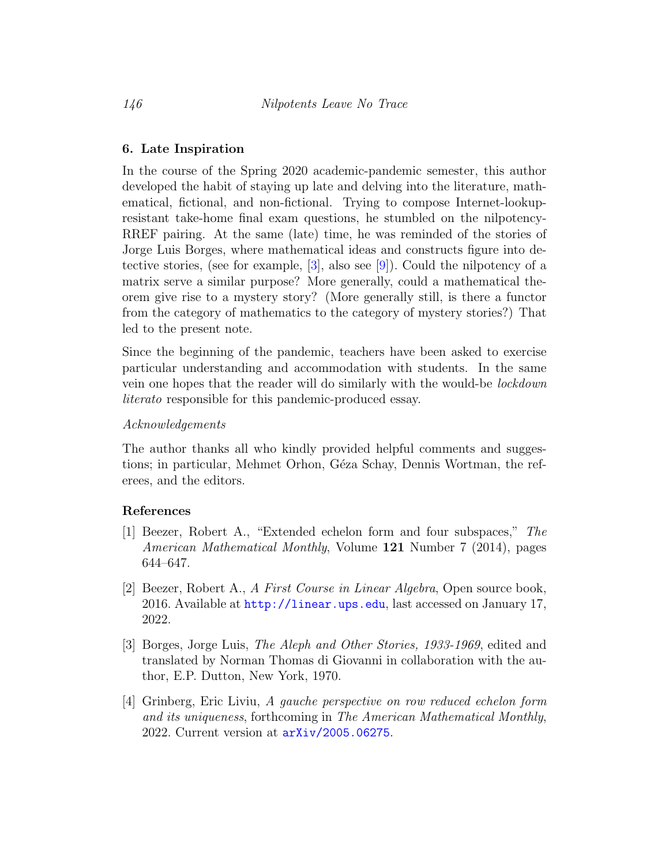#### 6. Late Inspiration

In the course of the Spring 2020 academic-pandemic semester, this author developed the habit of staying up late and delving into the literature, mathematical, fictional, and non-fictional. Trying to compose Internet-lookupresistant take-home final exam questions, he stumbled on the nilpotency-RREF pairing. At the same (late) time, he was reminded of the stories of Jorge Luis Borges, where mathematical ideas and constructs figure into detective stories, (see for example,  $[3]$ , also see  $[9]$ ). Could the nilpotency of a matrix serve a similar purpose? More generally, could a mathematical theorem give rise to a mystery story? (More generally still, is there a functor from the category of mathematics to the category of mystery stories?) That led to the present note.

Since the beginning of the pandemic, teachers have been asked to exercise particular understanding and accommodation with students. In the same vein one hopes that the reader will do similarly with the would-be lockdown literato responsible for this pandemic-produced essay.

#### Acknowledgements

The author thanks all who kindly provided helpful comments and suggestions; in particular, Mehmet Orhon, Géza Schay, Dennis Wortman, the referees, and the editors.

#### References

- <span id="page-8-0"></span>[1] Beezer, Robert A., "Extended echelon form and four subspaces," The American Mathematical Monthly, Volume 121 Number 7 (2014), pages 644–647.
- <span id="page-8-1"></span>[2] Beezer, Robert A., A First Course in Linear Algebra, Open source book, 2016. Available at <http://linear.ups.edu>, last accessed on January 17, 2022.
- <span id="page-8-3"></span>[3] Borges, Jorge Luis, The Aleph and Other Stories, 1933-1969, edited and translated by Norman Thomas di Giovanni in collaboration with the author, E.P. Dutton, New York, 1970.
- <span id="page-8-2"></span>[4] Grinberg, Eric Liviu, A gauche perspective on row reduced echelon form and its uniqueness, forthcoming in The American Mathematical Monthly, 2022. Current version at [arXiv/2005.06275](http://arxiv.org/abs/2005.06275).